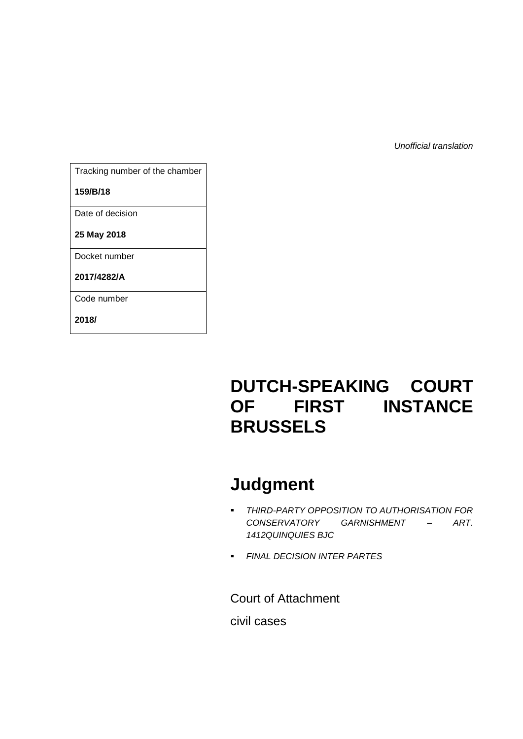*Unofficial translation* 

Tracking number of the chamber

**159/B/18**

Date of decision

**25 May 2018**

Docket number

**2017/4282/A**

Code number

**2018/**

# **DUTCH-SPEAKING COURT OF FIRST INSTANCE BRUSSELS**

# **Judgment**

- *THIRD-PARTY OPPOSITION TO AUTHORISATION FOR CONSERVATORY GARNISHMENT – ART. 1412QUINQUIES BJC*
- *FINAL DECISION INTER PARTES*

# Court of Attachment civil cases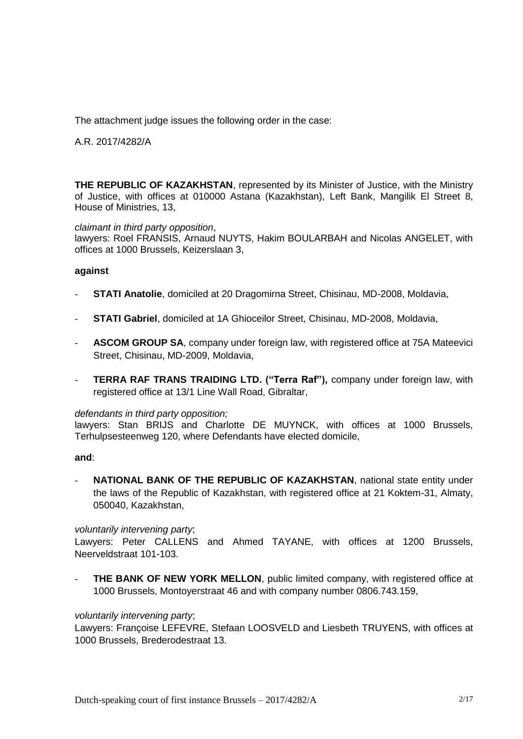The attachment judge issues the following order in the case:

A.R. 2017/4282/A

**THE REPUBLIC OF KAZAKHSTAN**, represented by its Minister of Justice, with the Ministry of Justice, with offices at 010000 Astana (Kazakhstan), Left Bank, Mangilik El Street 8, House of Ministries, 13,

#### *claimant in third party opposition*,

lawyers: Roel FRANSIS, Arnaud NUYTS, Hakim BOULARBAH and Nicolas ANGELET, with offices at 1000 Brussels, Keizerslaan 3,

#### **against**

- **STATI Anatolie**, domiciled at 20 Dragomirna Street, Chisinau, MD-2008, Moldavia,
- **STATI Gabriel**, domiciled at 1A Ghioceilor Street, Chisinau, MD-2008, Moldavia,
- ASCOM GROUP SA, company under foreign law, with registered office at 75A Mateevici Street, Chisinau, MD-2009, Moldavia,
- **TERRA RAF TRANS TRAIDING LTD. ("Terra Raf"),** company under foreign law, with registered office at 13/1 Line Wall Road, Gibraltar,

#### *defendants in third party opposition;*

lawyers: Stan BRIJS and Charlotte DE MUYNCK, with offices at 1000 Brussels, Terhulpsesteenweg 120, where Defendants have elected domicile,

#### **and**:

**NATIONAL BANK OF THE REPUBLIC OF KAZAKHSTAN, national state entity under** the laws of the Republic of Kazakhstan, with registered office at 21 Koktem-31, Almaty, 050040, Kazakhstan,

#### *voluntarily intervening party*;

Lawyers: Peter CALLENS and Ahmed TAYANE, with offices at 1200 Brussels, Neerveldstraat 101-103.

**THE BANK OF NEW YORK MELLON, public limited company, with registered office at** 1000 Brussels, Montoyerstraat 46 and with company number 0806.743.159,

#### *voluntarily intervening party*;

Lawyers: Françoise LEFEVRE, Stefaan LOOSVELD and Liesbeth TRUYENS, with offices at 1000 Brussels, Brederodestraat 13.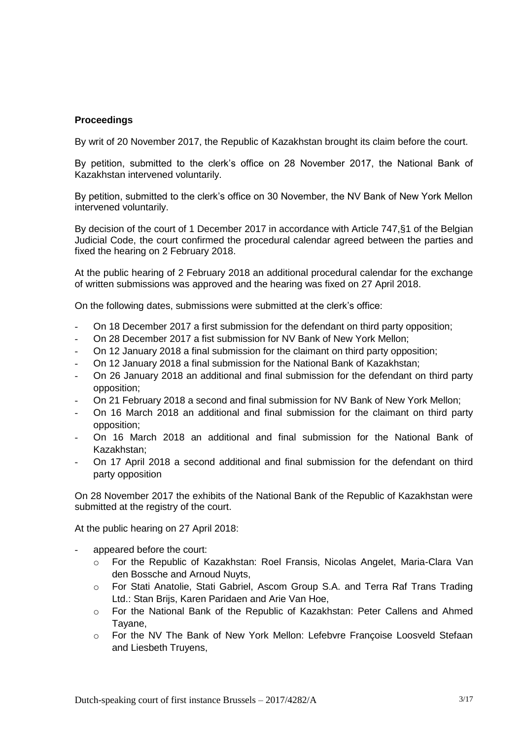# **Proceedings**

By writ of 20 November 2017, the Republic of Kazakhstan brought its claim before the court.

By petition, submitted to the clerk's office on 28 November 2017, the National Bank of Kazakhstan intervened voluntarily.

By petition, submitted to the clerk's office on 30 November, the NV Bank of New York Mellon intervened voluntarily.

By decision of the court of 1 December 2017 in accordance with Article 747,§1 of the Belgian Judicial Code, the court confirmed the procedural calendar agreed between the parties and fixed the hearing on 2 February 2018.

At the public hearing of 2 February 2018 an additional procedural calendar for the exchange of written submissions was approved and the hearing was fixed on 27 April 2018.

On the following dates, submissions were submitted at the clerk's office:

- On 18 December 2017 a first submission for the defendant on third party opposition;
- On 28 December 2017 a fist submission for NV Bank of New York Mellon;
- On 12 January 2018 a final submission for the claimant on third party opposition;
- On 12 January 2018 a final submission for the National Bank of Kazakhstan;
- On 26 January 2018 an additional and final submission for the defendant on third party opposition;
- On 21 February 2018 a second and final submission for NV Bank of New York Mellon;
- On 16 March 2018 an additional and final submission for the claimant on third party opposition;
- On 16 March 2018 an additional and final submission for the National Bank of Kazakhstan;
- On 17 April 2018 a second additional and final submission for the defendant on third party opposition

On 28 November 2017 the exhibits of the National Bank of the Republic of Kazakhstan were submitted at the registry of the court.

At the public hearing on 27 April 2018:

- appeared before the court:
	- o For the Republic of Kazakhstan: Roel Fransis, Nicolas Angelet, Maria-Clara Van den Bossche and Arnoud Nuyts,
	- o For Stati Anatolie, Stati Gabriel, Ascom Group S.A. and Terra Raf Trans Trading Ltd.: Stan Brijs, Karen Paridaen and Arie Van Hoe,
	- o For the National Bank of the Republic of Kazakhstan: Peter Callens and Ahmed Tayane,
	- o For the NV The Bank of New York Mellon: Lefebvre Françoise Loosveld Stefaan and Liesbeth Truyens,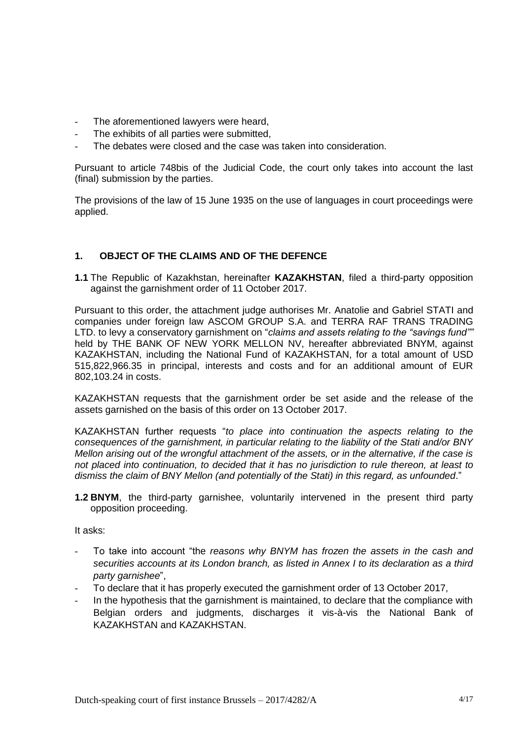- The aforementioned lawyers were heard,
- The exhibits of all parties were submitted.
- The debates were closed and the case was taken into consideration.

Pursuant to article 748bis of the Judicial Code, the court only takes into account the last (final) submission by the parties.

The provisions of the law of 15 June 1935 on the use of languages in court proceedings were applied.

# **1. OBJECT OF THE CLAIMS AND OF THE DEFENCE**

**1.1** The Republic of Kazakhstan, hereinafter **KAZAKHSTAN**, filed a third-party opposition against the garnishment order of 11 October 2017.

Pursuant to this order, the attachment judge authorises Mr. Anatolie and Gabriel STATI and companies under foreign law ASCOM GROUP S.A. and TERRA RAF TRANS TRADING LTD. to levy a conservatory garnishment on "*claims and assets relating to the "savings fund""* held by THE BANK OF NEW YORK MELLON NV, hereafter abbreviated BNYM, against KAZAKHSTAN, including the National Fund of KAZAKHSTAN, for a total amount of USD 515,822,966.35 in principal, interests and costs and for an additional amount of EUR 802,103.24 in costs.

KAZAKHSTAN requests that the garnishment order be set aside and the release of the assets garnished on the basis of this order on 13 October 2017.

KAZAKHSTAN further requests "*to place into continuation the aspects relating to the consequences of the garnishment, in particular relating to the liability of the Stati and/or BNY Mellon arising out of the wrongful attachment of the assets, or in the alternative, if the case is not placed into continuation, to decided that it has no jurisdiction to rule thereon, at least to dismiss the claim of BNY Mellon (and potentially of the Stati) in this regard, as unfounded*."

**1.2 BNYM**, the third-party garnishee, voluntarily intervened in the present third party opposition proceeding.

It asks:

- To take into account "the *reasons why BNYM has frozen the assets in the cash and securities accounts at its London branch, as listed in Annex I to its declaration as a third party garnishee*",
- To declare that it has properly executed the garnishment order of 13 October 2017,
- In the hypothesis that the garnishment is maintained, to declare that the compliance with Belgian orders and judgments, discharges it vis-à-vis the National Bank of KAZAKHSTAN and KAZAKHSTAN.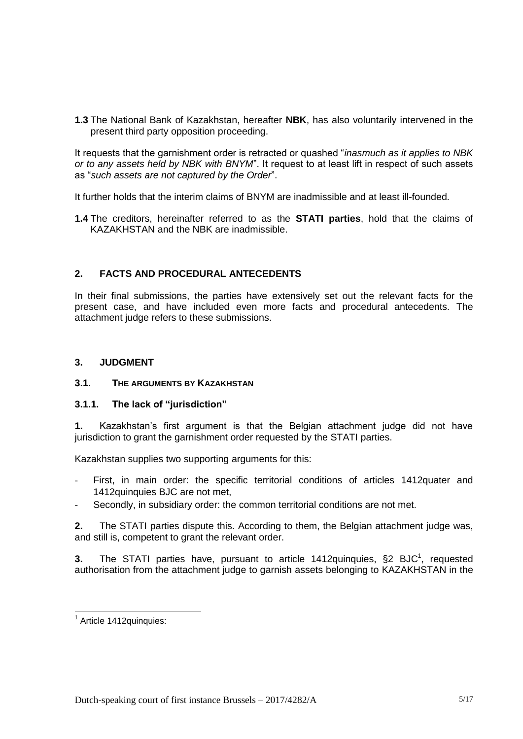**1.3** The National Bank of Kazakhstan, hereafter **NBK**, has also voluntarily intervened in the present third party opposition proceeding.

It requests that the garnishment order is retracted or quashed "*inasmuch as it applies to NBK or to any assets held by NBK with BNYM*". It request to at least lift in respect of such assets as "*such assets are not captured by the Order*".

It further holds that the interim claims of BNYM are inadmissible and at least ill-founded.

**1.4** The creditors, hereinafter referred to as the **STATI parties**, hold that the claims of KAZAKHSTAN and the NBK are inadmissible.

# **2. FACTS AND PROCEDURAL ANTECEDENTS**

In their final submissions, the parties have extensively set out the relevant facts for the present case, and have included even more facts and procedural antecedents. The attachment judge refers to these submissions.

#### **3. JUDGMENT**

# **3.1. THE ARGUMENTS BY KAZAKHSTAN**

# **3.1.1. The lack of "jurisdiction"**

**1.** Kazakhstan's first argument is that the Belgian attachment judge did not have jurisdiction to grant the garnishment order requested by the STATI parties.

Kazakhstan supplies two supporting arguments for this:

- First, in main order: the specific territorial conditions of articles 1412quater and 1412quinquies BJC are not met,
- Secondly, in subsidiary order: the common territorial conditions are not met.

**2.** The STATI parties dispute this. According to them, the Belgian attachment judge was, and still is, competent to grant the relevant order.

**3.** The STATI parties have, pursuant to article 1412 quinquies, §2 BJC<sup>1</sup>, requested authorisation from the attachment judge to garnish assets belonging to KAZAKHSTAN in the

1

<sup>&</sup>lt;sup>1</sup> Article 1412 quinquies: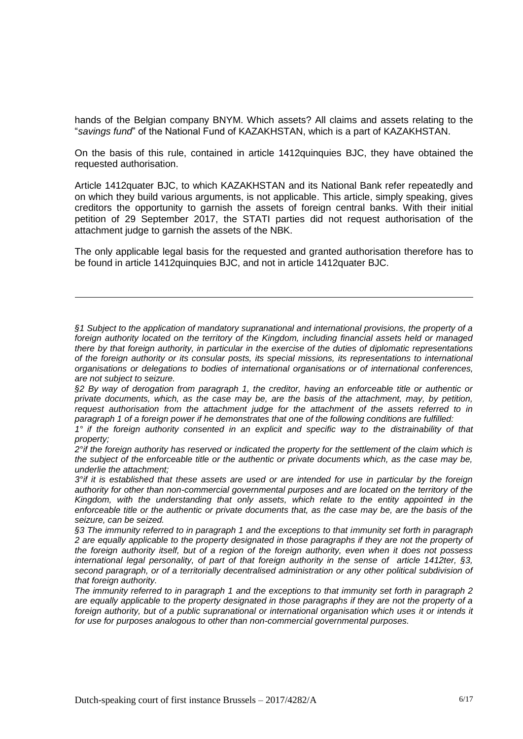hands of the Belgian company BNYM. Which assets? All claims and assets relating to the "*savings fund*" of the National Fund of KAZAKHSTAN, which is a part of KAZAKHSTAN.

On the basis of this rule, contained in article 1412quinquies BJC, they have obtained the requested authorisation.

Article 1412quater BJC, to which KAZAKHSTAN and its National Bank refer repeatedly and on which they build various arguments, is not applicable. This article, simply speaking, gives creditors the opportunity to garnish the assets of foreign central banks. With their initial petition of 29 September 2017, the STATI parties did not request authorisation of the attachment judge to garnish the assets of the NBK.

The only applicable legal basis for the requested and granted authorisation therefore has to be found in article 1412quinquies BJC, and not in article 1412quater BJC.

*§1 Subject to the application of mandatory supranational and international provisions, the property of a foreign authority located on the territory of the Kingdom, including financial assets held or managed there by that foreign authority, in particular in the exercise of the duties of diplomatic representations of the foreign authority or its consular posts, its special missions, its representations to international organisations or delegations to bodies of international organisations or of international conferences, are not subject to seizure.* 

*§2 By way of derogation from paragraph 1, the creditor, having an enforceable title or authentic or private documents, which, as the case may be, are the basis of the attachment, may, by petition, request authorisation from the attachment judge for the attachment of the assets referred to in paragraph 1 of a foreign power if he demonstrates that one of the following conditions are fulfilled:*

*1° if the foreign authority consented in an explicit and specific way to the distrainability of that property;*

*2°if the foreign authority has reserved or indicated the property for the settlement of the claim which is the subject of the enforceable title or the authentic or private documents which, as the case may be, underlie the attachment;*

*3°if it is established that these assets are used or are intended for use in particular by the foreign authority for other than non-commercial governmental purposes and are located on the territory of the Kingdom, with the understanding that only assets, which relate to the entity appointed in the enforceable title or the authentic or private documents that, as the case may be, are the basis of the seizure, can be seized.*

*§3 The immunity referred to in paragraph 1 and the exceptions to that immunity set forth in paragraph 2 are equally applicable to the property designated in those paragraphs if they are not the property of the foreign authority itself, but of a region of the foreign authority, even when it does not possess international legal personality, of part of that foreign authority in the sense of article 1412ter, §3,*  second paragraph, or of a territorially decentralised administration or any other political subdivision of *that foreign authority.*

*The immunity referred to in paragraph 1 and the exceptions to that immunity set forth in paragraph 2 are equally applicable to the property designated in those paragraphs if they are not the property of a*  foreign authority, but of a public supranational or international organisation which uses it or intends it *for use for purposes analogous to other than non-commercial governmental purposes.*

-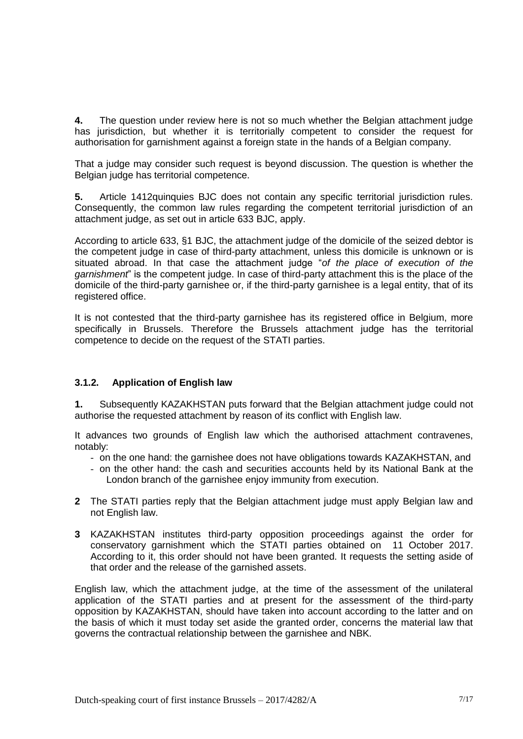**4.** The question under review here is not so much whether the Belgian attachment judge has jurisdiction, but whether it is territorially competent to consider the request for authorisation for garnishment against a foreign state in the hands of a Belgian company.

That a judge may consider such request is beyond discussion. The question is whether the Belgian judge has territorial competence.

**5.** Article 1412quinquies BJC does not contain any specific territorial jurisdiction rules. Consequently, the common law rules regarding the competent territorial jurisdiction of an attachment judge, as set out in article 633 BJC, apply.

According to article 633, §1 BJC, the attachment judge of the domicile of the seized debtor is the competent judge in case of third-party attachment, unless this domicile is unknown or is situated abroad. In that case the attachment judge "*of the place of execution of the garnishment*" is the competent judge. In case of third-party attachment this is the place of the domicile of the third-party garnishee or, if the third-party garnishee is a legal entity, that of its registered office.

It is not contested that the third-party garnishee has its registered office in Belgium, more specifically in Brussels. Therefore the Brussels attachment judge has the territorial competence to decide on the request of the STATI parties.

# **3.1.2. Application of English law**

**1.** Subsequently KAZAKHSTAN puts forward that the Belgian attachment judge could not authorise the requested attachment by reason of its conflict with English law.

It advances two grounds of English law which the authorised attachment contravenes, notably:

- on the one hand: the garnishee does not have obligations towards KAZAKHSTAN, and
- on the other hand: the cash and securities accounts held by its National Bank at the London branch of the garnishee enjoy immunity from execution.
- **2** The STATI parties reply that the Belgian attachment judge must apply Belgian law and not English law.
- **3** KAZAKHSTAN institutes third-party opposition proceedings against the order for conservatory garnishment which the STATI parties obtained on 11 October 2017. According to it, this order should not have been granted. It requests the setting aside of that order and the release of the garnished assets.

English law, which the attachment judge, at the time of the assessment of the unilateral application of the STATI parties and at present for the assessment of the third-party opposition by KAZAKHSTAN, should have taken into account according to the latter and on the basis of which it must today set aside the granted order, concerns the material law that governs the contractual relationship between the garnishee and NBK.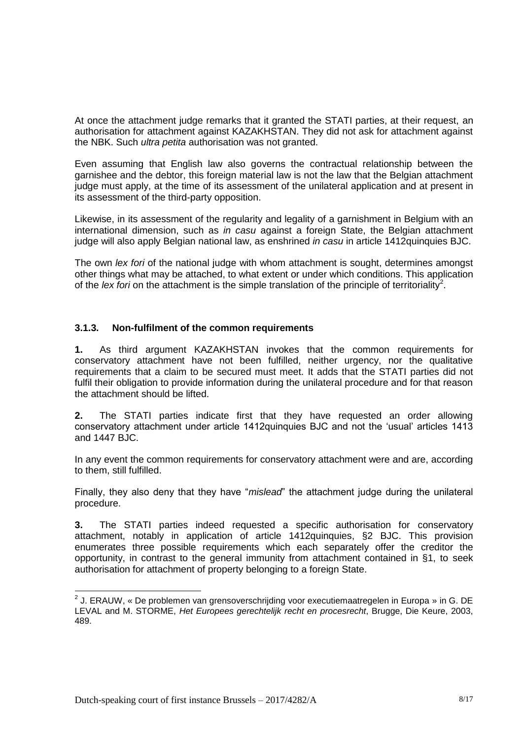At once the attachment judge remarks that it granted the STATI parties, at their request, an authorisation for attachment against KAZAKHSTAN. They did not ask for attachment against the NBK. Such *ultra petita* authorisation was not granted.

Even assuming that English law also governs the contractual relationship between the garnishee and the debtor, this foreign material law is not the law that the Belgian attachment judge must apply, at the time of its assessment of the unilateral application and at present in its assessment of the third-party opposition.

Likewise, in its assessment of the regularity and legality of a garnishment in Belgium with an international dimension, such as *in casu* against a foreign State, the Belgian attachment judge will also apply Belgian national law, as enshrined *in casu* in article 1412quinquies BJC.

The own *lex fori* of the national judge with whom attachment is sought, determines amongst other things what may be attached, to what extent or under which conditions. This application of the lex fori on the attachment is the simple translation of the principle of territoriality<sup>2</sup>.

# **3.1.3. Non-fulfilment of the common requirements**

**1.** As third argument KAZAKHSTAN invokes that the common requirements for conservatory attachment have not been fulfilled, neither urgency, nor the qualitative requirements that a claim to be secured must meet. It adds that the STATI parties did not fulfil their obligation to provide information during the unilateral procedure and for that reason the attachment should be lifted.

**2.** The STATI parties indicate first that they have requested an order allowing conservatory attachment under article 1412quinquies BJC and not the 'usual' articles 1413 and 1447 BJC.

In any event the common requirements for conservatory attachment were and are, according to them, still fulfilled.

Finally, they also deny that they have "*mislead*" the attachment judge during the unilateral procedure.

**3.** The STATI parties indeed requested a specific authorisation for conservatory attachment, notably in application of article 1412quinquies, §2 BJC. This provision enumerates three possible requirements which each separately offer the creditor the opportunity, in contrast to the general immunity from attachment contained in §1, to seek authorisation for attachment of property belonging to a foreign State.

 2 J. ERAUW, « De problemen van grensoverschrijding voor executiemaatregelen in Europa » in G. DE LEVAL and M. STORME, *Het Europees gerechtelijk recht en procesrecht*, Brugge, Die Keure, 2003, 489.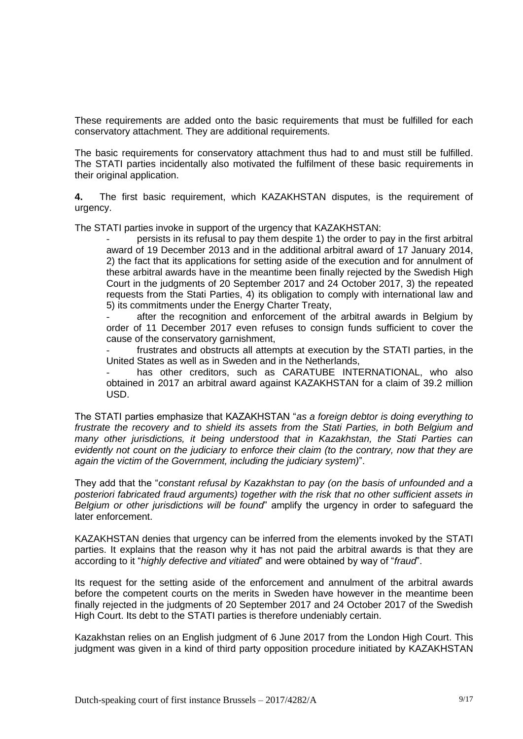These requirements are added onto the basic requirements that must be fulfilled for each conservatory attachment. They are additional requirements.

The basic requirements for conservatory attachment thus had to and must still be fulfilled. The STATI parties incidentally also motivated the fulfilment of these basic requirements in their original application.

**4.** The first basic requirement, which KAZAKHSTAN disputes, is the requirement of urgency.

The STATI parties invoke in support of the urgency that KAZAKHSTAN:

persists in its refusal to pay them despite 1) the order to pay in the first arbitral award of 19 December 2013 and in the additional arbitral award of 17 January 2014, 2) the fact that its applications for setting aside of the execution and for annulment of these arbitral awards have in the meantime been finally rejected by the Swedish High Court in the judgments of 20 September 2017 and 24 October 2017, 3) the repeated requests from the Stati Parties, 4) its obligation to comply with international law and 5) its commitments under the Energy Charter Treaty,

after the recognition and enforcement of the arbitral awards in Belgium by order of 11 December 2017 even refuses to consign funds sufficient to cover the cause of the conservatory garnishment,

frustrates and obstructs all attempts at execution by the STATI parties, in the United States as well as in Sweden and in the Netherlands,

has other creditors, such as CARATUBE INTERNATIONAL, who also obtained in 2017 an arbitral award against KAZAKHSTAN for a claim of 39.2 million USD.

The STATI parties emphasize that KAZAKHSTAN "*as a foreign debtor is doing everything to frustrate the recovery and to shield its assets from the Stati Parties, in both Belgium and many other jurisdictions, it being understood that in Kazakhstan, the Stati Parties can evidently not count on the judiciary to enforce their claim (to the contrary, now that they are again the victim of the Government, including the judiciary system)*".

They add that the "*constant refusal by Kazakhstan to pay (on the basis of unfounded and a posteriori fabricated fraud arguments) together with the risk that no other sufficient assets in Belgium or other jurisdictions will be found*" amplify the urgency in order to safeguard the later enforcement.

KAZAKHSTAN denies that urgency can be inferred from the elements invoked by the STATI parties. It explains that the reason why it has not paid the arbitral awards is that they are according to it "*highly defective and vitiated*" and were obtained by way of "*fraud*".

Its request for the setting aside of the enforcement and annulment of the arbitral awards before the competent courts on the merits in Sweden have however in the meantime been finally rejected in the judgments of 20 September 2017 and 24 October 2017 of the Swedish High Court. Its debt to the STATI parties is therefore undeniably certain.

Kazakhstan relies on an English judgment of 6 June 2017 from the London High Court. This judgment was given in a kind of third party opposition procedure initiated by KAZAKHSTAN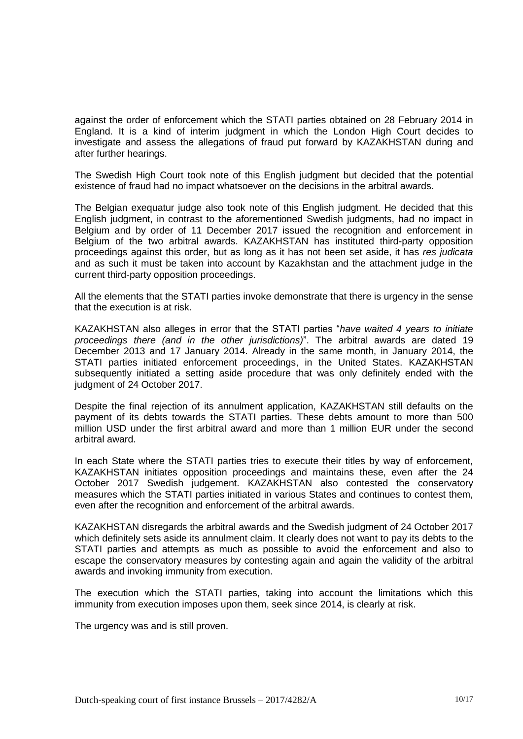against the order of enforcement which the STATI parties obtained on 28 February 2014 in England. It is a kind of interim judgment in which the London High Court decides to investigate and assess the allegations of fraud put forward by KAZAKHSTAN during and after further hearings.

The Swedish High Court took note of this English judgment but decided that the potential existence of fraud had no impact whatsoever on the decisions in the arbitral awards.

The Belgian exequatur judge also took note of this English judgment. He decided that this English judgment, in contrast to the aforementioned Swedish judgments, had no impact in Belgium and by order of 11 December 2017 issued the recognition and enforcement in Belgium of the two arbitral awards. KAZAKHSTAN has instituted third-party opposition proceedings against this order, but as long as it has not been set aside, it has *res judicata* and as such it must be taken into account by Kazakhstan and the attachment judge in the current third-party opposition proceedings.

All the elements that the STATI parties invoke demonstrate that there is urgency in the sense that the execution is at risk.

KAZAKHSTAN also alleges in error that the STATI parties "*have waited 4 years to initiate proceedings there (and in the other jurisdictions)*". The arbitral awards are dated 19 December 2013 and 17 January 2014. Already in the same month, in January 2014, the STATI parties initiated enforcement proceedings, in the United States. KAZAKHSTAN subsequently initiated a setting aside procedure that was only definitely ended with the judgment of 24 October 2017.

Despite the final rejection of its annulment application, KAZAKHSTAN still defaults on the payment of its debts towards the STATI parties. These debts amount to more than 500 million USD under the first arbitral award and more than 1 million EUR under the second arbitral award.

In each State where the STATI parties tries to execute their titles by way of enforcement, KAZAKHSTAN initiates opposition proceedings and maintains these, even after the 24 October 2017 Swedish judgement. KAZAKHSTAN also contested the conservatory measures which the STATI parties initiated in various States and continues to contest them, even after the recognition and enforcement of the arbitral awards.

KAZAKHSTAN disregards the arbitral awards and the Swedish judgment of 24 October 2017 which definitely sets aside its annulment claim. It clearly does not want to pay its debts to the STATI parties and attempts as much as possible to avoid the enforcement and also to escape the conservatory measures by contesting again and again the validity of the arbitral awards and invoking immunity from execution.

The execution which the STATI parties, taking into account the limitations which this immunity from execution imposes upon them, seek since 2014, is clearly at risk.

The urgency was and is still proven.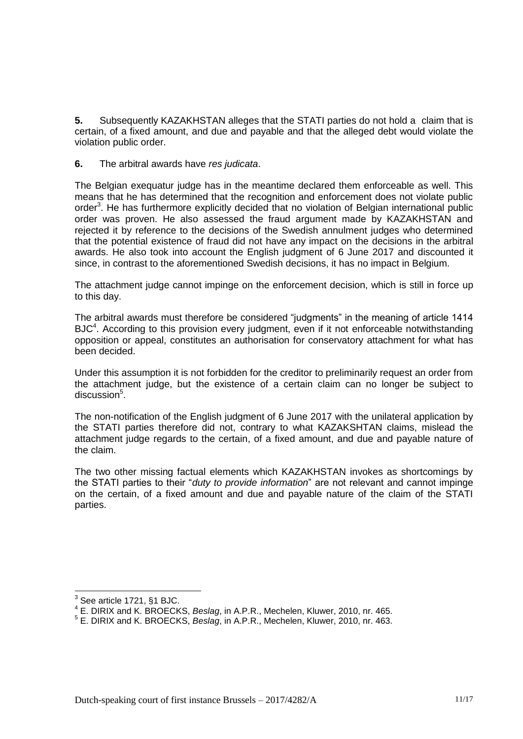**5.** Subsequently KAZAKHSTAN alleges that the STATI parties do not hold a claim that is certain, of a fixed amount, and due and payable and that the alleged debt would violate the violation public order.

**6.** The arbitral awards have *res judicata*.

The Belgian exequatur judge has in the meantime declared them enforceable as well. This means that he has determined that the recognition and enforcement does not violate public order<sup>3</sup>. He has furthermore explicitly decided that no violation of Belgian international public order was proven. He also assessed the fraud argument made by KAZAKHSTAN and rejected it by reference to the decisions of the Swedish annulment judges who determined that the potential existence of fraud did not have any impact on the decisions in the arbitral awards. He also took into account the English judgment of 6 June 2017 and discounted it since, in contrast to the aforementioned Swedish decisions, it has no impact in Belgium.

The attachment judge cannot impinge on the enforcement decision, which is still in force up to this day.

The arbitral awards must therefore be considered "judgments" in the meaning of article 1414 BJC<sup>4</sup>. According to this provision every judgment, even if it not enforceable notwithstanding opposition or appeal, constitutes an authorisation for conservatory attachment for what has been decided.

Under this assumption it is not forbidden for the creditor to preliminarily request an order from the attachment judge, but the existence of a certain claim can no longer be subject to discussion<sup>5</sup>.

The non-notification of the English judgment of 6 June 2017 with the unilateral application by the STATI parties therefore did not, contrary to what KAZAKSHTAN claims, mislead the attachment judge regards to the certain, of a fixed amount, and due and payable nature of the claim.

The two other missing factual elements which KAZAKHSTAN invokes as shortcomings by the STATI parties to their "*duty to provide information*" are not relevant and cannot impinge on the certain, of a fixed amount and due and payable nature of the claim of the STATI parties.

-

<sup>3</sup> See article 1721, §1 BJC.

<sup>4</sup> E. DIRIX and K. BROECKS, *Beslag*, in A.P.R., Mechelen, Kluwer, 2010, nr. 465.

<sup>5</sup> E. DIRIX and K. BROECKS, *Beslag*, in A.P.R., Mechelen, Kluwer, 2010, nr. 463.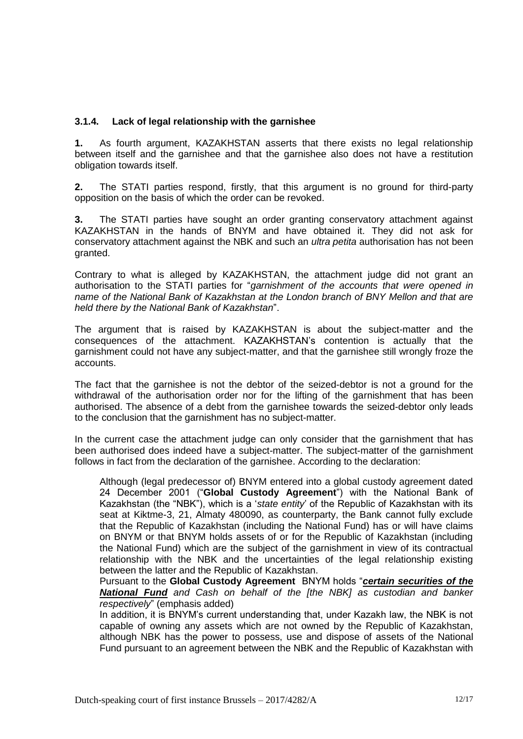#### **3.1.4. Lack of legal relationship with the garnishee**

**1.** As fourth argument, KAZAKHSTAN asserts that there exists no legal relationship between itself and the garnishee and that the garnishee also does not have a restitution obligation towards itself.

**2.** The STATI parties respond, firstly, that this argument is no ground for third-party opposition on the basis of which the order can be revoked.

**3.** The STATI parties have sought an order granting conservatory attachment against KAZAKHSTAN in the hands of BNYM and have obtained it. They did not ask for conservatory attachment against the NBK and such an *ultra petita* authorisation has not been granted.

Contrary to what is alleged by KAZAKHSTAN, the attachment judge did not grant an authorisation to the STATI parties for "*garnishment of the accounts that were opened in name of the National Bank of Kazakhstan at the London branch of BNY Mellon and that are held there by the National Bank of Kazakhstan*".

The argument that is raised by KAZAKHSTAN is about the subject-matter and the consequences of the attachment. KAZAKHSTAN's contention is actually that the garnishment could not have any subject-matter, and that the garnishee still wrongly froze the accounts.

The fact that the garnishee is not the debtor of the seized-debtor is not a ground for the withdrawal of the authorisation order nor for the lifting of the garnishment that has been authorised. The absence of a debt from the garnishee towards the seized-debtor only leads to the conclusion that the garnishment has no subject-matter.

In the current case the attachment judge can only consider that the garnishment that has been authorised does indeed have a subject-matter. The subject-matter of the garnishment follows in fact from the declaration of the garnishee. According to the declaration:

Although (legal predecessor of) BNYM entered into a global custody agreement dated 24 December 2001 ("**Global Custody Agreement**") with the National Bank of Kazakhstan (the "NBK"), which is a '*state entity*' of the Republic of Kazakhstan with its seat at Kiktme-3, 21, Almaty 480090, as counterparty, the Bank cannot fully exclude that the Republic of Kazakhstan (including the National Fund) has or will have claims on BNYM or that BNYM holds assets of or for the Republic of Kazakhstan (including the National Fund) which are the subject of the garnishment in view of its contractual relationship with the NBK and the uncertainties of the legal relationship existing between the latter and the Republic of Kazakhstan.

Pursuant to the **Global Custody Agreement** BNYM holds "*certain securities of the National Fund and Cash on behalf of the [the NBK] as custodian and banker respectively*" (emphasis added)

In addition, it is BNYM's current understanding that, under Kazakh law, the NBK is not capable of owning any assets which are not owned by the Republic of Kazakhstan, although NBK has the power to possess, use and dispose of assets of the National Fund pursuant to an agreement between the NBK and the Republic of Kazakhstan with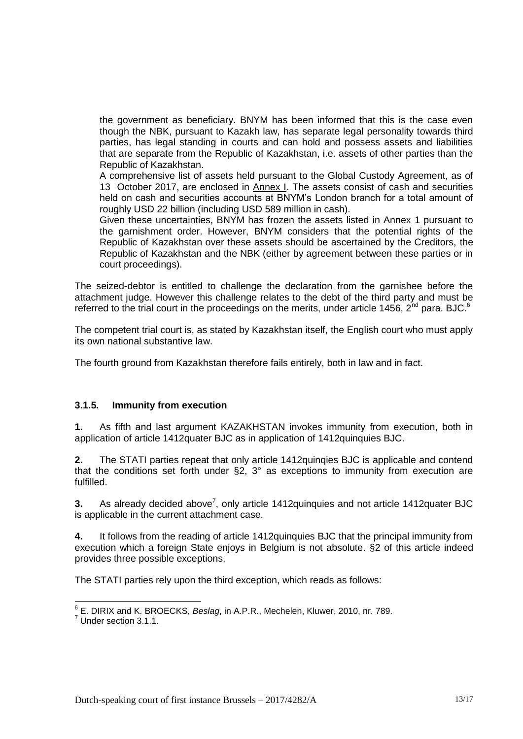the government as beneficiary. BNYM has been informed that this is the case even though the NBK, pursuant to Kazakh law, has separate legal personality towards third parties, has legal standing in courts and can hold and possess assets and liabilities that are separate from the Republic of Kazakhstan, i.e. assets of other parties than the Republic of Kazakhstan.

A comprehensive list of assets held pursuant to the Global Custody Agreement, as of 13 October 2017, are enclosed in Annex I. The assets consist of cash and securities held on cash and securities accounts at BNYM's London branch for a total amount of roughly USD 22 billion (including USD 589 million in cash).

Given these uncertainties, BNYM has frozen the assets listed in Annex 1 pursuant to the garnishment order. However, BNYM considers that the potential rights of the Republic of Kazakhstan over these assets should be ascertained by the Creditors, the Republic of Kazakhstan and the NBK (either by agreement between these parties or in court proceedings).

The seized-debtor is entitled to challenge the declaration from the garnishee before the attachment judge. However this challenge relates to the debt of the third party and must be referred to the trial court in the proceedings on the merits, under article 1456, 2<sup>nd</sup> para. BJC.<sup>6</sup>

The competent trial court is, as stated by Kazakhstan itself, the English court who must apply its own national substantive law.

The fourth ground from Kazakhstan therefore fails entirely, both in law and in fact.

# **3.1.5. Immunity from execution**

**1.** As fifth and last argument KAZAKHSTAN invokes immunity from execution, both in application of article 1412quater BJC as in application of 1412quinquies BJC.

**2.** The STATI parties repeat that only article 1412quinqies BJC is applicable and contend that the conditions set forth under §2, 3° as exceptions to immunity from execution are fulfilled.

**3.** As already decided above<sup>7</sup>, only article 1412quinquies and not article 1412quater BJC is applicable in the current attachment case.

**4.** It follows from the reading of article 1412quinquies BJC that the principal immunity from execution which a foreign State enjoys in Belgium is not absolute. §2 of this article indeed provides three possible exceptions.

The STATI parties rely upon the third exception, which reads as follows:

 6 E. DIRIX and K. BROECKS, *Beslag*, in A.P.R., Mechelen, Kluwer, 2010, nr. 789.

<sup>7</sup> Under section 3.1.1.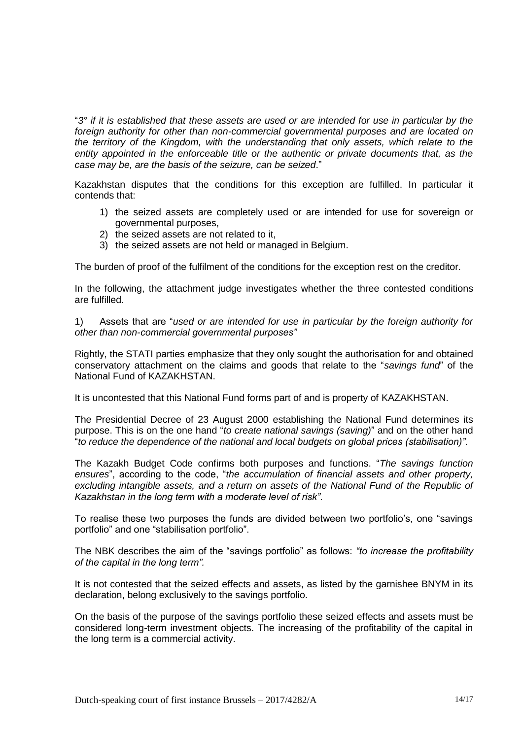"*3° if it is established that these assets are used or are intended for use in particular by the foreign authority for other than non-commercial governmental purposes and are located on the territory of the Kingdom, with the understanding that only assets, which relate to the entity appointed in the enforceable title or the authentic or private documents that, as the case may be, are the basis of the seizure, can be seized*."

Kazakhstan disputes that the conditions for this exception are fulfilled. In particular it contends that:

- 1) the seized assets are completely used or are intended for use for sovereign or governmental purposes,
- 2) the seized assets are not related to it,
- 3) the seized assets are not held or managed in Belgium.

The burden of proof of the fulfilment of the conditions for the exception rest on the creditor.

In the following, the attachment judge investigates whether the three contested conditions are fulfilled.

1) Assets that are "*used or are intended for use in particular by the foreign authority for other than non-commercial governmental purposes"*

Rightly, the STATI parties emphasize that they only sought the authorisation for and obtained conservatory attachment on the claims and goods that relate to the "*savings fund*" of the National Fund of KAZAKHSTAN.

It is uncontested that this National Fund forms part of and is property of KAZAKHSTAN.

The Presidential Decree of 23 August 2000 establishing the National Fund determines its purpose. This is on the one hand "*to create national savings (saving)*" and on the other hand "*to reduce the dependence of the national and local budgets on global prices (stabilisation)"*.

The Kazakh Budget Code confirms both purposes and functions. "*The savings function ensures*", according to the code, "*the accumulation of financial assets and other property,*  excluding intangible assets, and a return on assets of the National Fund of the Republic of *Kazakhstan in the long term with a moderate level of risk"*.

To realise these two purposes the funds are divided between two portfolio's, one "savings portfolio" and one "stabilisation portfolio".

The NBK describes the aim of the "savings portfolio" as follows: *"to increase the profitability of the capital in the long term".* 

It is not contested that the seized effects and assets, as listed by the garnishee BNYM in its declaration, belong exclusively to the savings portfolio.

On the basis of the purpose of the savings portfolio these seized effects and assets must be considered long-term investment objects. The increasing of the profitability of the capital in the long term is a commercial activity.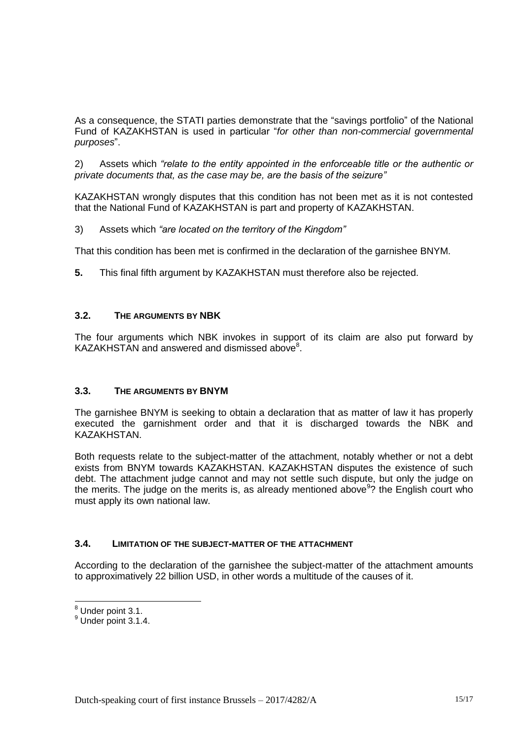As a consequence, the STATI parties demonstrate that the "savings portfolio" of the National Fund of KAZAKHSTAN is used in particular "*for other than non-commercial governmental purposes*".

2) Assets which *"relate to the entity appointed in the enforceable title or the authentic or private documents that, as the case may be, are the basis of the seizure"*

KAZAKHSTAN wrongly disputes that this condition has not been met as it is not contested that the National Fund of KAZAKHSTAN is part and property of KAZAKHSTAN.

3) Assets which *"are located on the territory of the Kingdom"*

That this condition has been met is confirmed in the declaration of the garnishee BNYM.

**5.** This final fifth argument by KAZAKHSTAN must therefore also be rejected.

# **3.2. THE ARGUMENTS BY NBK**

The four arguments which NBK invokes in support of its claim are also put forward by KAZAKHSTAN and answered and dismissed above<sup>8</sup>.

# **3.3. THE ARGUMENTS BY BNYM**

The garnishee BNYM is seeking to obtain a declaration that as matter of law it has properly executed the garnishment order and that it is discharged towards the NBK and KAZAKHSTAN.

Both requests relate to the subject-matter of the attachment, notably whether or not a debt exists from BNYM towards KAZAKHSTAN. KAZAKHSTAN disputes the existence of such debt. The attachment judge cannot and may not settle such dispute, but only the judge on the merits. The judge on the merits is, as already mentioned above<sup>9</sup>? the English court who must apply its own national law.

# **3.4. LIMITATION OF THE SUBJECT-MATTER OF THE ATTACHMENT**

According to the declaration of the garnishee the subject-matter of the attachment amounts to approximatively 22 billion USD, in other words a multitude of the causes of it.

-

<sup>&</sup>lt;sup>8</sup> Under point 3.1.

 $\degree$  Under point 3.1.4.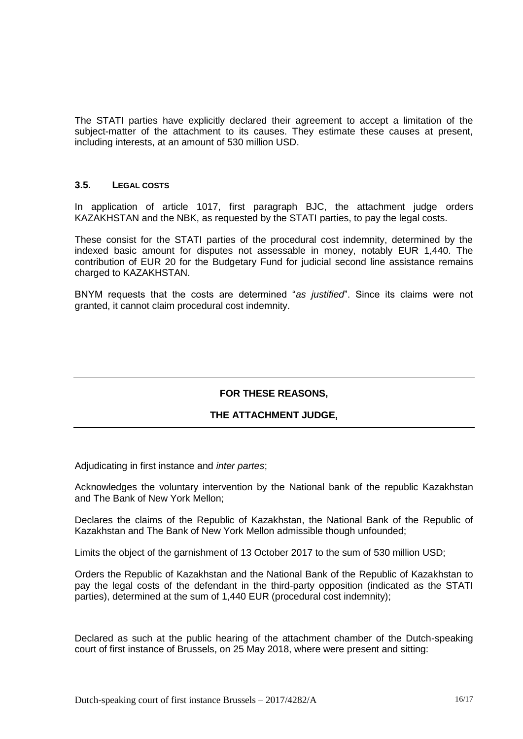The STATI parties have explicitly declared their agreement to accept a limitation of the subject-matter of the attachment to its causes. They estimate these causes at present, including interests, at an amount of 530 million USD.

#### **3.5. LEGAL COSTS**

In application of article 1017, first paragraph BJC, the attachment judge orders KAZAKHSTAN and the NBK, as requested by the STATI parties, to pay the legal costs.

These consist for the STATI parties of the procedural cost indemnity, determined by the indexed basic amount for disputes not assessable in money, notably EUR 1,440. The contribution of EUR 20 for the Budgetary Fund for judicial second line assistance remains charged to KAZAKHSTAN.

BNYM requests that the costs are determined "*as justified*". Since its claims were not granted, it cannot claim procedural cost indemnity.

# **FOR THESE REASONS,**

# **THE ATTACHMENT JUDGE,**

Adjudicating in first instance and *inter partes*;

Acknowledges the voluntary intervention by the National bank of the republic Kazakhstan and The Bank of New York Mellon;

Declares the claims of the Republic of Kazakhstan, the National Bank of the Republic of Kazakhstan and The Bank of New York Mellon admissible though unfounded;

Limits the object of the garnishment of 13 October 2017 to the sum of 530 million USD;

Orders the Republic of Kazakhstan and the National Bank of the Republic of Kazakhstan to pay the legal costs of the defendant in the third-party opposition (indicated as the STATI parties), determined at the sum of 1,440 EUR (procedural cost indemnity);

Declared as such at the public hearing of the attachment chamber of the Dutch-speaking court of first instance of Brussels, on 25 May 2018, where were present and sitting: